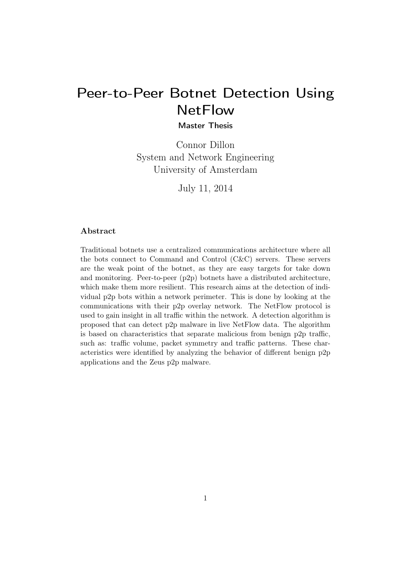# Peer-to-Peer Botnet Detection Using **NetFlow**

Master Thesis

Connor Dillon System and Network Engineering University of Amsterdam

July 11, 2014

#### Abstract .

Traditional botnets use a centralized communications architecture where all the bots connect to Command and Control (C&C) servers. These servers are the weak point of the botnet, as they are easy targets for take down and monitoring. Peer-to-peer (p2p) botnets have a distributed architecture, which make them more resilient. This research aims at the detection of individual p2p bots within a network perimeter. This is done by looking at the communications with their p2p overlay network. The NetFlow protocol is used to gain insight in all traffic within the network. A detection algorithm is proposed that can detect p2p malware in live NetFlow data. The algorithm is based on characteristics that separate malicious from benign p2p traffic, such as: traffic volume, packet symmetry and traffic patterns. These characteristics were identified by analyzing the behavior of different benign p2p applications and the Zeus p2p malware.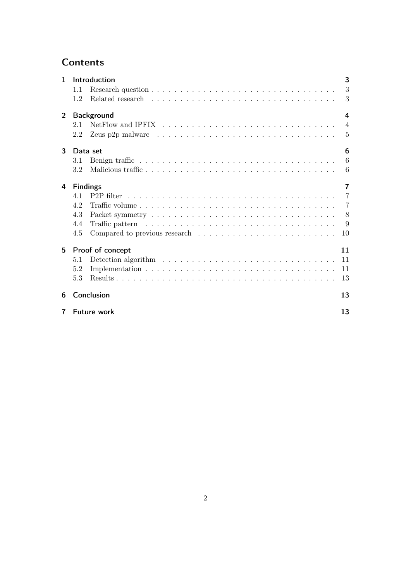## **Contents**

| $\mathbf{1}$   |                                   | Introduction                                                                                    | 3              |  |  |  |
|----------------|-----------------------------------|-------------------------------------------------------------------------------------------------|----------------|--|--|--|
|                | 1.1                               |                                                                                                 | 3              |  |  |  |
|                | 1.2                               |                                                                                                 | 3              |  |  |  |
| $\overline{2}$ | <b>Background</b>                 |                                                                                                 |                |  |  |  |
|                | 2.1                               |                                                                                                 | $\overline{4}$ |  |  |  |
|                | 2.2                               | Zeus p2p malware $\ldots \ldots \ldots \ldots \ldots \ldots \ldots \ldots \ldots \ldots \ldots$ | $\overline{5}$ |  |  |  |
| 3              | 6<br>Data set                     |                                                                                                 |                |  |  |  |
|                | 3.1                               |                                                                                                 | 6              |  |  |  |
|                | 3.2                               |                                                                                                 | 6              |  |  |  |
| 4              | <b>Findings</b><br>$\overline{7}$ |                                                                                                 |                |  |  |  |
|                | 41                                |                                                                                                 | $\overline{7}$ |  |  |  |
|                | 4.2                               |                                                                                                 | 7              |  |  |  |
|                | 4.3                               |                                                                                                 | 8              |  |  |  |
|                | 4.4                               |                                                                                                 | 9              |  |  |  |
|                | 4.5                               | Compared to previous research $\ldots \ldots \ldots \ldots \ldots \ldots \ldots \ldots$         | 10             |  |  |  |
| 5              | Proof of concept<br>11            |                                                                                                 |                |  |  |  |
|                | 5.1                               |                                                                                                 | 11             |  |  |  |
|                | 5.2                               |                                                                                                 | 11             |  |  |  |
|                | 5.3                               |                                                                                                 | 13             |  |  |  |
| 6              |                                   | Conclusion                                                                                      | 13             |  |  |  |
| 7              | <b>Future work</b>                |                                                                                                 |                |  |  |  |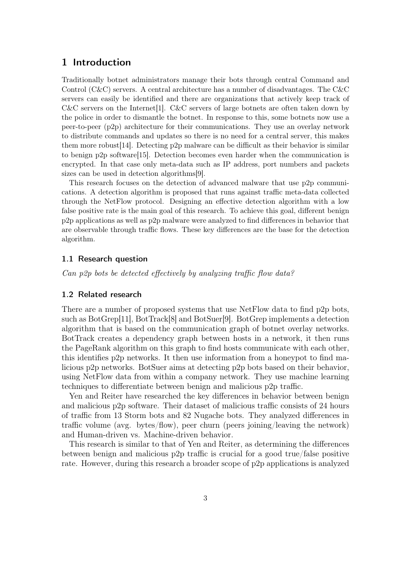#### 1 Introduction

Traditionally botnet administrators manage their bots through central Command and Control (C&C) servers. A central architecture has a number of disadvantages. The C&C servers can easily be identified and there are organizations that actively keep track of  $C\&C$  servers on the Internet [1].  $C\&C$  servers of large botnets are often taken down by the police in order to dismantle the botnet. In response to this, some botnets now use a peer-to-peer (p2p) architecture for their communications. They use an overlay network to distribute commands and updates so there is no need for a central server, this makes them more robust[14]. Detecting p2p malware can be difficult as their behavior is similar to benign p2p software[15]. Detection becomes even harder when the communication is encrypted. In that case only meta-data such as IP address, port numbers and packets sizes can be used in detection algorithms[9].

This research focuses on the detection of advanced malware that use p2p communications. A detection algorithm is proposed that runs against traffic meta-data collected through the NetFlow protocol. Designing an effective detection algorithm with a low false positive rate is the main goal of this research. To achieve this goal, different benign p2p applications as well as p2p malware were analyzed to find differences in behavior that are observable through traffic flows. These key differences are the base for the detection algorithm.

#### 1.1 Research question

Can p2p bots be detected effectively by analyzing traffic flow data?

#### 1.2 Related research

There are a number of proposed systems that use NetFlow data to find p2p bots, such as BotGrep[11], BotTrack[8] and BotSuer[9]. BotGrep implements a detection algorithm that is based on the communication graph of botnet overlay networks. BotTrack creates a dependency graph between hosts in a network, it then runs the PageRank algorithm on this graph to find hosts communicate with each other, this identifies p2p networks. It then use information from a honeypot to find malicious p2p networks. BotSuer aims at detecting p2p bots based on their behavior, using NetFlow data from within a company network. They use machine learning techniques to differentiate between benign and malicious p2p traffic.

Yen and Reiter have researched the key differences in behavior between benign and malicious p2p software. Their dataset of malicious traffic consists of 24 hours of traffic from 13 Storm bots and 82 Nugache bots. They analyzed differences in traffic volume (avg. bytes/flow), peer churn (peers joining/leaving the network) and Human-driven vs. Machine-driven behavior.

This research is similar to that of Yen and Reiter, as determining the differences between benign and malicious p2p traffic is crucial for a good true/false positive rate. However, during this research a broader scope of p2p applications is analyzed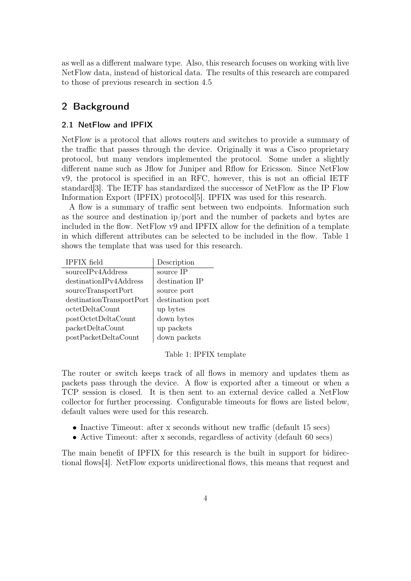as well as a different malware type. Also, this research focuses on working with live NetFlow data, instead of historical data. The results of this research are compared to those of previous research in section 4.5

## 2 Background

#### 2.1 NetFlow and IPFIX

NetFlow is a protocol that allows routers and switches to provide a summary of the traffic that passes through the device. Originally it was a Cisco proprietary protocol, but many vendors implemented the protocol. Some under a slightly different name such as Jflow for Juniper and Rflow for Ericsson. Since NetFlow v9, the protocol is specified in an RFC, however, this is not an official IETF standard[3]. The IETF has standardized the successor of NetFlow as the IP Flow Information Export (IPFIX) protocol[5]. IPFIX was used for this research.

A flow is a summary of traffic sent between two endpoints. Information such as the source and destination ip/port and the number of packets and bytes are included in the flow. NetFlow v9 and IPFIX allow for the definition of a template in which different attributes can be selected to be included in the flow. Table 1 shows the template that was used for this research.

| <b>IPFIX</b> field       | Description      |
|--------------------------|------------------|
| sourceIPv4Address        | source IP        |
| destinationIPv4Address   | destination IP   |
| sourceTransportPort      | source port      |
| destinationTransportPort | destination port |
| octetDeltaCount          | up bytes         |
| postOctetDeltaCount      | down bytes       |
| packetDeltaCount         | up packets       |
| postPacketDeltaCount     | down packets     |

#### Table 1: IPFIX template

The router or switch keeps track of all flows in memory and updates them as packets pass through the device. A flow is exported after a timeout or when a TCP session is closed. It is then sent to an external device called a NetFlow collector for further processing. Configurable timeouts for flows are listed below, default values were used for this research.

- Inactive Timeout: after x seconds without new traffic (default 15 secs)
- Active Timeout: after x seconds, regardless of activity (default 60 secs)

The main benefit of IPFIX for this research is the built in support for bidirectional flows[4]. NetFlow exports unidirectional flows, this means that request and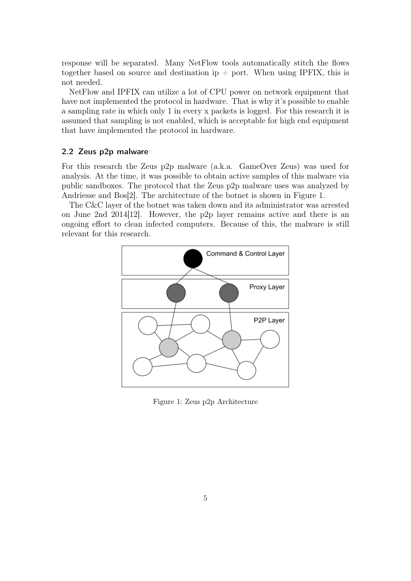response will be separated. Many NetFlow tools automatically stitch the flows together based on source and destination  $ip + port$ . When using IPFIX, this is not needed.

NetFlow and IPFIX can utilize a lot of CPU power on network equipment that have not implemented the protocol in hardware. That is why it's possible to enable a sampling rate in which only 1 in every x packets is logged. For this research it is assumed that sampling is not enabled, which is acceptable for high end equipment that have implemented the protocol in hardware.

#### 2.2 Zeus p2p malware

For this research the Zeus p2p malware (a.k.a. GameOver Zeus) was used for analysis. At the time, it was possible to obtain active samples of this malware via public sandboxes. The protocol that the Zeus p2p malware uses was analyzed by Andriesse and Bos[2]. The architecture of the botnet is shown in Figure 1.

The C&C layer of the botnet was taken down and its administrator was arrested on June 2nd 2014[12]. However, the p2p layer remains active and there is an ongoing effort to clean infected computers. Because of this, the malware is still relevant for this research.



Figure 1: Zeus p2p Architecture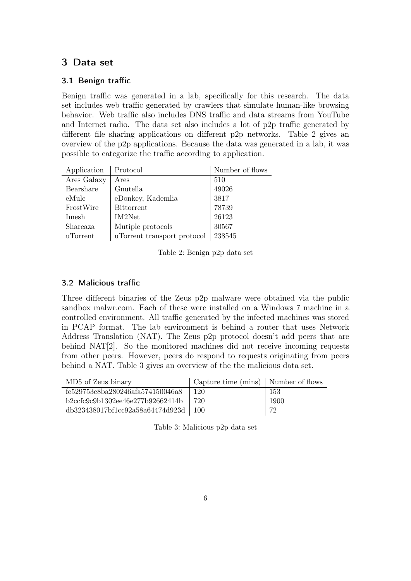## 3 Data set

#### 3.1 Benign traffic

Benign traffic was generated in a lab, specifically for this research. The data set includes web traffic generated by crawlers that simulate human-like browsing behavior. Web traffic also includes DNS traffic and data streams from YouTube and Internet radio. The data set also includes a lot of p2p traffic generated by different file sharing applications on different p2p networks. Table 2 gives an overview of the p2p applications. Because the data was generated in a lab, it was possible to categorize the traffic according to application.

| Application | Protocol                    | Number of flows |
|-------------|-----------------------------|-----------------|
| Ares Galaxy | Ares                        | 510             |
| Bearshare   | Gnutella                    | 49026           |
| eMule       | eDonkey, Kademlia           | 3817            |
| FrostWire   | <b>Bittorrent</b>           | 78739           |
| Imesh       | IM2Net                      | 26123           |
| Shareaza    | Mutiple protocols           | 30567           |
| uTorrent    | uTorrent transport protocol | 238545          |

Table 2: Benign p2p data set

#### 3.2 Malicious traffic

Three different binaries of the Zeus p2p malware were obtained via the public sandbox malwr.com. Each of these were installed on a Windows 7 machine in a controlled environment. All traffic generated by the infected machines was stored in PCAP format. The lab environment is behind a router that uses Network Address Translation (NAT). The Zeus p2p protocol doesn't add peers that are behind NAT[2]. So the monitored machines did not receive incoming requests from other peers. However, peers do respond to requests originating from peers behind a NAT. Table 3 gives an overview of the the malicious data set.

| MD5 of Zeus binary                        | Capture time (mins) Number of flows |      |
|-------------------------------------------|-------------------------------------|------|
| fe529753c8ba280246afa574150046a8          | 120                                 | 153  |
| b2ccfc9c9b1302ee46e277b92662414b          | $+720$                              | 1900 |
| $db323438017b$ f1cc92a58a64474d923d   100 |                                     | 72   |

Table 3: Malicious p2p data set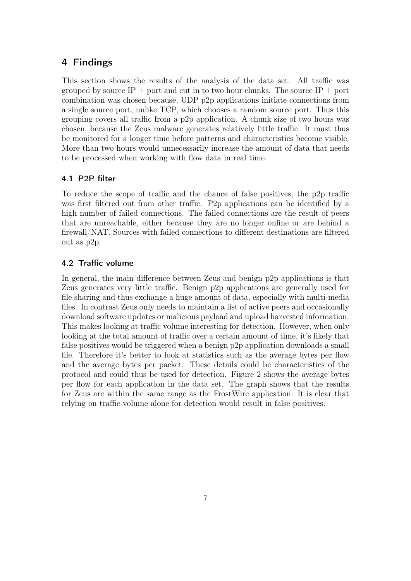## 4 Findings

This section shows the results of the analysis of the data set. All traffic was grouped by source IP + port and cut in to two hour chunks. The source IP + port combination was chosen because, UDP p2p applications initiate connections from a single source port, unlike TCP, which chooses a random source port. Thus this grouping covers all traffic from a p2p application. A chunk size of two hours was chosen, because the Zeus malware generates relatively little traffic. It must thus be monitored for a longer time before patterns and characteristics become visible. More than two hours would unnecessarily increase the amount of data that needs to be processed when working with flow data in real time.

#### 4.1 P2P filter

To reduce the scope of traffic and the chance of false positives, the p2p traffic was first filtered out from other traffic. P2p applications can be identified by a high number of failed connections. The failed connections are the result of peers that are unreachable, either because they are no longer online or are behind a firewall/NAT. Sources with failed connections to different destinations are filtered out as p2p.

#### 4.2 Traffic volume

In general, the main difference between Zeus and benign p2p applications is that Zeus generates very little traffic. Benign p2p applications are generally used for file sharing and thus exchange a huge amount of data, especially with multi-media files. In contrast Zeus only needs to maintain a list of active peers and occasionally download software updates or malicious payload and upload harvested information. This makes looking at traffic volume interesting for detection. However, when only looking at the total amount of traffic over a certain amount of time, it's likely that false positives would be triggered when a benign p2p application downloads a small file. Therefore it's better to look at statistics such as the average bytes per flow and the average bytes per packet. These details could be characteristics of the protocol and could thus be used for detection. Figure 2 shows the average bytes per flow for each application in the data set. The graph shows that the results for Zeus are within the same range as the FrostWire application. It is clear that relying on traffic volume alone for detection would result in false positives.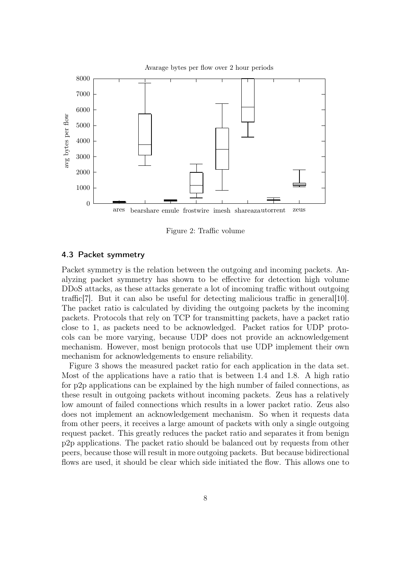

Figure 2: Traffic volume

#### 4.3 Packet symmetry

Packet symmetry is the relation between the outgoing and incoming packets. Analyzing packet symmetry has shown to be effective for detection high volume DDoS attacks, as these attacks generate a lot of incoming traffic without outgoing traffic[7]. But it can also be useful for detecting malicious traffic in general[10]. The packet ratio is calculated by dividing the outgoing packets by the incoming packets. Protocols that rely on TCP for transmitting packets, have a packet ratio close to 1, as packets need to be acknowledged. Packet ratios for UDP protocols can be more varying, because UDP does not provide an acknowledgement mechanism. However, most benign protocols that use UDP implement their own mechanism for acknowledgements to ensure reliability.

Figure 3 shows the measured packet ratio for each application in the data set. Most of the applications have a ratio that is between 1.4 and 1.8. A high ratio for p2p applications can be explained by the high number of failed connections, as these result in outgoing packets without incoming packets. Zeus has a relatively low amount of failed connections which results in a lower packet ratio. Zeus also does not implement an acknowledgement mechanism. So when it requests data from other peers, it receives a large amount of packets with only a single outgoing request packet. This greatly reduces the packet ratio and separates it from benign p2p applications. The packet ratio should be balanced out by requests from other peers, because those will result in more outgoing packets. But because bidirectional flows are used, it should be clear which side initiated the flow. This allows one to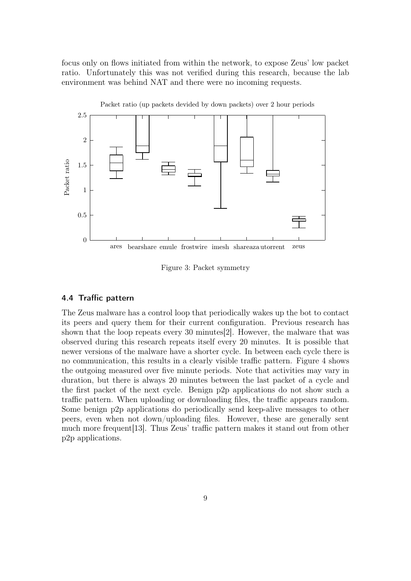focus only on flows initiated from within the network, to expose Zeus' low packet ratio. Unfortunately this was not verified during this research, because the lab environment was behind NAT and there were no incoming requests.



Figure 3: Packet symmetry

#### 4.4 Traffic pattern

The Zeus malware has a control loop that periodically wakes up the bot to contact its peers and query them for their current configuration. Previous research has shown that the loop repeats every 30 minutes[2]. However, the malware that was observed during this research repeats itself every 20 minutes. It is possible that newer versions of the malware have a shorter cycle. In between each cycle there is no communication, this results in a clearly visible traffic pattern. Figure 4 shows the outgoing measured over five minute periods. Note that activities may vary in duration, but there is always 20 minutes between the last packet of a cycle and the first packet of the next cycle. Benign p2p applications do not show such a traffic pattern. When uploading or downloading files, the traffic appears random. Some benign p2p applications do periodically send keep-alive messages to other peers, even when not down/uploading files. However, these are generally sent much more frequent[13]. Thus Zeus' traffic pattern makes it stand out from other p2p applications.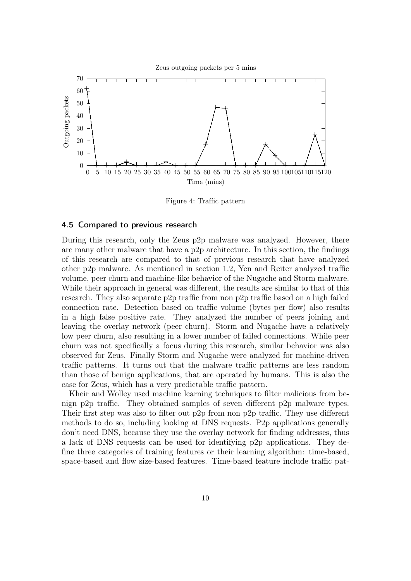

Figure 4: Traffic pattern

#### 4.5 Compared to previous research

During this research, only the Zeus p2p malware was analyzed. However, there are many other malware that have a p2p architecture. In this section, the findings of this research are compared to that of previous research that have analyzed other p2p malware. As mentioned in section 1.2, Yen and Reiter analyzed traffic volume, peer churn and machine-like behavior of the Nugache and Storm malware. While their approach in general was different, the results are similar to that of this research. They also separate p2p traffic from non p2p traffic based on a high failed connection rate. Detection based on traffic volume (bytes per flow) also results in a high false positive rate. They analyzed the number of peers joining and leaving the overlay network (peer churn). Storm and Nugache have a relatively low peer churn, also resulting in a lower number of failed connections. While peer churn was not specifically a focus during this research, similar behavior was also observed for Zeus. Finally Storm and Nugache were analyzed for machine-driven traffic patterns. It turns out that the malware traffic patterns are less random than those of benign applications, that are operated by humans. This is also the case for Zeus, which has a very predictable traffic pattern.

Kheir and Wolley used machine learning techniques to filter malicious from benign p2p traffic. They obtained samples of seven different p2p malware types. Their first step was also to filter out p2p from non p2p traffic. They use different methods to do so, including looking at DNS requests. P2p applications generally don't need DNS, because they use the overlay network for finding addresses, thus a lack of DNS requests can be used for identifying p2p applications. They define three categories of training features or their learning algorithm: time-based, space-based and flow size-based features. Time-based feature include traffic pat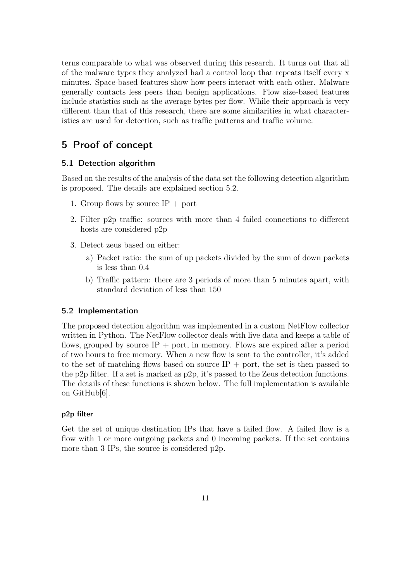terns comparable to what was observed during this research. It turns out that all of the malware types they analyzed had a control loop that repeats itself every x minutes. Space-based features show how peers interact with each other. Malware generally contacts less peers than benign applications. Flow size-based features include statistics such as the average bytes per flow. While their approach is very different than that of this research, there are some similarities in what characteristics are used for detection, such as traffic patterns and traffic volume.

## 5 Proof of concept

#### 5.1 Detection algorithm

Based on the results of the analysis of the data set the following detection algorithm is proposed. The details are explained section 5.2.

- 1. Group flows by source  $IP +$  port
- 2. Filter p2p traffic: sources with more than 4 failed connections to different hosts are considered p2p
- 3. Detect zeus based on either:
	- a) Packet ratio: the sum of up packets divided by the sum of down packets is less than 0.4
	- b) Traffic pattern: there are 3 periods of more than 5 minutes apart, with standard deviation of less than 150

#### 5.2 Implementation

The proposed detection algorithm was implemented in a custom NetFlow collector written in Python. The NetFlow collector deals with live data and keeps a table of flows, grouped by source  $IP +$  port, in memory. Flows are expired after a period of two hours to free memory. When a new flow is sent to the controller, it's added to the set of matching flows based on source  $IP +$  port, the set is then passed to the p2p filter. If a set is marked as p2p, it's passed to the Zeus detection functions. The details of these functions is shown below. The full implementation is available on GitHub[6].

#### p2p filter

Get the set of unique destination IPs that have a failed flow. A failed flow is a flow with 1 or more outgoing packets and 0 incoming packets. If the set contains more than 3 IPs, the source is considered p2p.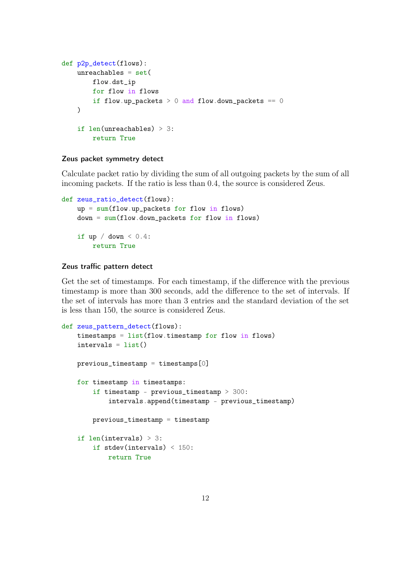```
def p2p_detect(flows):
unreachables = set(flow.dst_ip
    for flow in flows
    if flow.up_packets > 0 and flow.down_packets == 0)
 if len(unreachables) > 3:
    return True
```
#### Zeus packet symmetry detect

Calculate packet ratio by dividing the sum of all outgoing packets by the sum of all incoming packets. If the ratio is less than 0.4, the source is considered Zeus.

```
def zeus_ratio_detect(flows):
 up = sum(float.up_packets for flow in flows)down = sum(float.down_packets for flow in flows)if up / down < 0.4:
     return True
```
#### Zeus traffic pattern detect

Get the set of timestamps. For each timestamp, if the difference with the previous timestamp is more than 300 seconds, add the difference to the set of intervals. If the set of intervals has more than 3 entries and the standard deviation of the set is less than 150, the source is considered Zeus.

```
def zeus_pattern_detect(flows):
timestamps = list(float.time stamp for flow in flows)intervals = list()previous_timestamp = timestamp[0]for timestamp in timestamps:
     if timestamp - previous_timestamp > 300:
         intervals.append(timestamp - previous_timestamp)
    previous_timestamp = timestamp
 if len(intervals) > 3:
     if stdev(intervals) < 150:
         return True
```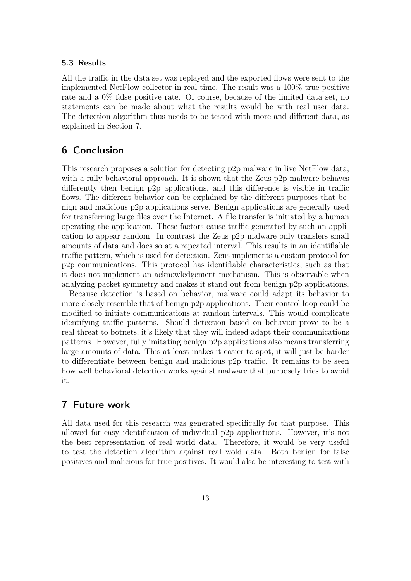#### 5.3 Results

All the traffic in the data set was replayed and the exported flows were sent to the implemented NetFlow collector in real time. The result was a 100% true positive rate and a 0% false positive rate. Of course, because of the limited data set, no statements can be made about what the results would be with real user data. The detection algorithm thus needs to be tested with more and different data, as explained in Section 7.

### 6 Conclusion

This research proposes a solution for detecting p2p malware in live NetFlow data, with a fully behavioral approach. It is shown that the Zeus p2p malware behaves differently then benign p2p applications, and this difference is visible in traffic flows. The different behavior can be explained by the different purposes that benign and malicious p2p applications serve. Benign applications are generally used for transferring large files over the Internet. A file transfer is initiated by a human operating the application. These factors cause traffic generated by such an application to appear random. In contrast the Zeus p2p malware only transfers small amounts of data and does so at a repeated interval. This results in an identifiable traffic pattern, which is used for detection. Zeus implements a custom protocol for p2p communications. This protocol has identifiable characteristics, such as that it does not implement an acknowledgement mechanism. This is observable when analyzing packet symmetry and makes it stand out from benign p2p applications.

Because detection is based on behavior, malware could adapt its behavior to more closely resemble that of benign p2p applications. Their control loop could be modified to initiate communications at random intervals. This would complicate identifying traffic patterns. Should detection based on behavior prove to be a real threat to botnets, it's likely that they will indeed adapt their communications patterns. However, fully imitating benign p2p applications also means transferring large amounts of data. This at least makes it easier to spot, it will just be harder to differentiate between benign and malicious p2p traffic. It remains to be seen how well behavioral detection works against malware that purposely tries to avoid it.

#### 7 Future work

All data used for this research was generated specifically for that purpose. This allowed for easy identification of individual p2p applications. However, it's not the best representation of real world data. Therefore, it would be very useful to test the detection algorithm against real wold data. Both benign for false positives and malicious for true positives. It would also be interesting to test with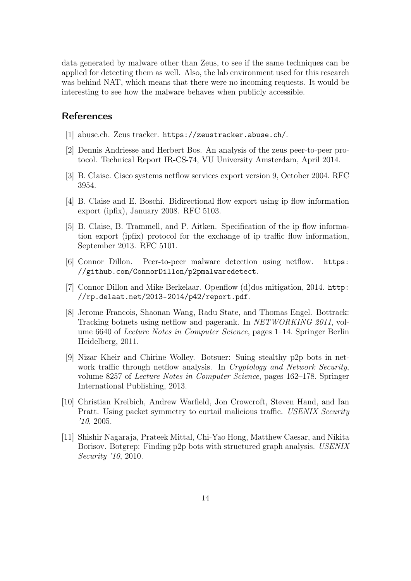data generated by malware other than Zeus, to see if the same techniques can be applied for detecting them as well. Also, the lab environment used for this research was behind NAT, which means that there were no incoming requests. It would be interesting to see how the malware behaves when publicly accessible.

#### References

- [1] abuse.ch. Zeus tracker. https://zeustracker.abuse.ch/.
- [2] Dennis Andriesse and Herbert Bos. An analysis of the zeus peer-to-peer protocol. Technical Report IR-CS-74, VU University Amsterdam, April 2014.
- [3] B. Claise. Cisco systems netflow services export version 9, October 2004. RFC 3954.
- [4] B. Claise and E. Boschi. Bidirectional flow export using ip flow information export (ipfix), January 2008. RFC 5103.
- [5] B. Claise, B. Trammell, and P. Aitken. Specification of the ip flow information export (ipfix) protocol for the exchange of ip traffic flow information, September 2013. RFC 5101.
- [6] Connor Dillon. Peer-to-peer malware detection using netflow. https: //github.com/ConnorDillon/p2pmalwaredetect.
- [7] Connor Dillon and Mike Berkelaar. Openflow (d)dos mitigation, 2014. http: //rp.delaat.net/2013-2014/p42/report.pdf.
- [8] Jerome Francois, Shaonan Wang, Radu State, and Thomas Engel. Bottrack: Tracking botnets using netflow and pagerank. In NETWORKING 2011, volume 6640 of Lecture Notes in Computer Science, pages 1–14. Springer Berlin Heidelberg, 2011.
- [9] Nizar Kheir and Chirine Wolley. Botsuer: Suing stealthy p2p bots in network traffic through netflow analysis. In Cryptology and Network Security, volume 8257 of Lecture Notes in Computer Science, pages 162–178. Springer International Publishing, 2013.
- [10] Christian Kreibich, Andrew Warfield, Jon Crowcroft, Steven Hand, and Ian Pratt. Using packet symmetry to curtail malicious traffic. USENIX Security '10, 2005.
- [11] Shishir Nagaraja, Prateek Mittal, Chi-Yao Hong, Matthew Caesar, and Nikita Borisov. Botgrep: Finding p2p bots with structured graph analysis. USENIX Security '10, 2010.